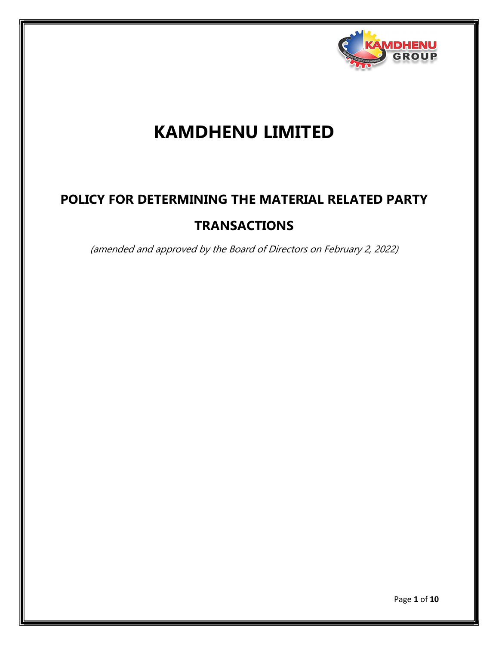

## KAMDHENU LIMITED

# POLICY FOR DETERMINING THE MATERIAL RELATED PARTY **TRANSACTIONS**

(amended and approved by the Board of Directors on February 2, 2022)

Page 1 of 10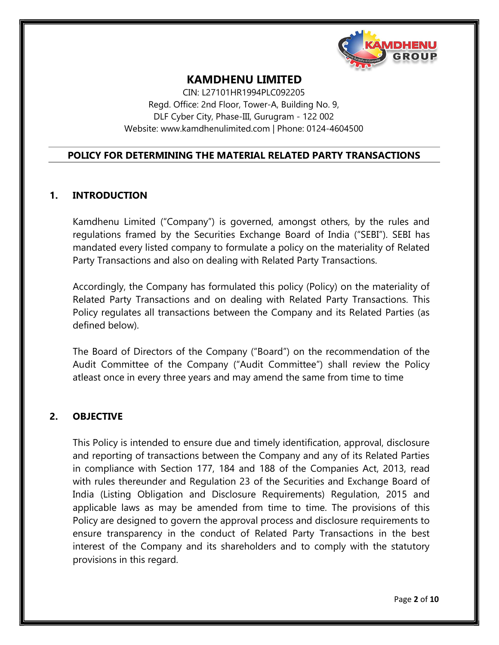

## KAMDHENU LIMITED

CIN: L27101HR1994PLC092205 Regd. Office: 2nd Floor, Tower-A, Building No. 9, DLF Cyber City, Phase-III, Gurugram - 122 002 Website: www.kamdhenulimited.com | Phone: 0124-4604500

#### POLICY FOR DETERMINING THE MATERIAL RELATED PARTY TRANSACTIONS

#### 1. INTRODUCTION

Kamdhenu Limited ("Company") is governed, amongst others, by the rules and regulations framed by the Securities Exchange Board of India ("SEBI"). SEBI has mandated every listed company to formulate a policy on the materiality of Related Party Transactions and also on dealing with Related Party Transactions.

Accordingly, the Company has formulated this policy (Policy) on the materiality of Related Party Transactions and on dealing with Related Party Transactions. This Policy regulates all transactions between the Company and its Related Parties (as defined below).

The Board of Directors of the Company ("Board") on the recommendation of the Audit Committee of the Company ("Audit Committee") shall review the Policy atleast once in every three years and may amend the same from time to time

#### 2. OBJECTIVE

This Policy is intended to ensure due and timely identification, approval, disclosure and reporting of transactions between the Company and any of its Related Parties in compliance with Section 177, 184 and 188 of the Companies Act, 2013, read with rules thereunder and Regulation 23 of the Securities and Exchange Board of India (Listing Obligation and Disclosure Requirements) Regulation, 2015 and applicable laws as may be amended from time to time. The provisions of this Policy are designed to govern the approval process and disclosure requirements to ensure transparency in the conduct of Related Party Transactions in the best interest of the Company and its shareholders and to comply with the statutory provisions in this regard.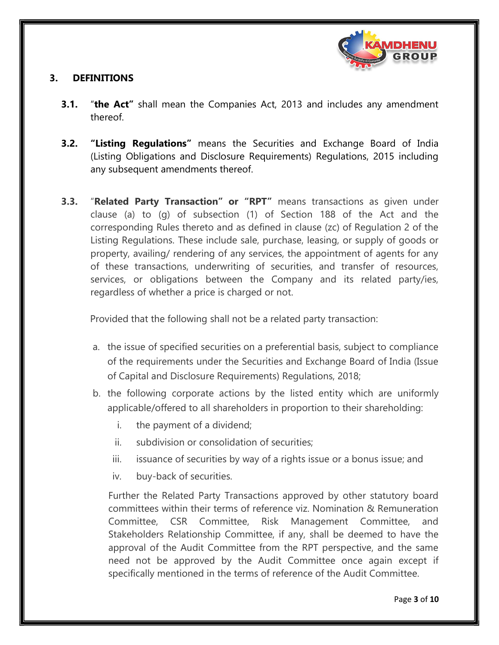

## 3. DEFINITIONS

- **3.1.** "the Act" shall mean the Companies Act, 2013 and includes any amendment thereof.
- **3.2. "Listing Regulations"** means the Securities and Exchange Board of India (Listing Obligations and Disclosure Requirements) Regulations, 2015 including any subsequent amendments thereof.
- 3.3. "Related Party Transaction" or "RPT" means transactions as given under clause (a) to (g) of subsection (1) of Section 188 of the Act and the corresponding Rules thereto and as defined in clause (zc) of Regulation 2 of the Listing Regulations. These include sale, purchase, leasing, or supply of goods or property, availing/ rendering of any services, the appointment of agents for any of these transactions, underwriting of securities, and transfer of resources, services, or obligations between the Company and its related party/ies, regardless of whether a price is charged or not.

Provided that the following shall not be a related party transaction:

- a. the issue of specified securities on a preferential basis, subject to compliance of the requirements under the Securities and Exchange Board of India (Issue of Capital and Disclosure Requirements) Regulations, 2018;
- b. the following corporate actions by the listed entity which are uniformly applicable/offered to all shareholders in proportion to their shareholding:
	- i. the payment of a dividend;
	- ii. subdivision or consolidation of securities;
	- iii. issuance of securities by way of a rights issue or a bonus issue; and
	- iv. buy-back of securities.

Further the Related Party Transactions approved by other statutory board committees within their terms of reference viz. Nomination & Remuneration Committee, CSR Committee, Risk Management Committee, and Stakeholders Relationship Committee, if any, shall be deemed to have the approval of the Audit Committee from the RPT perspective, and the same need not be approved by the Audit Committee once again except if specifically mentioned in the terms of reference of the Audit Committee.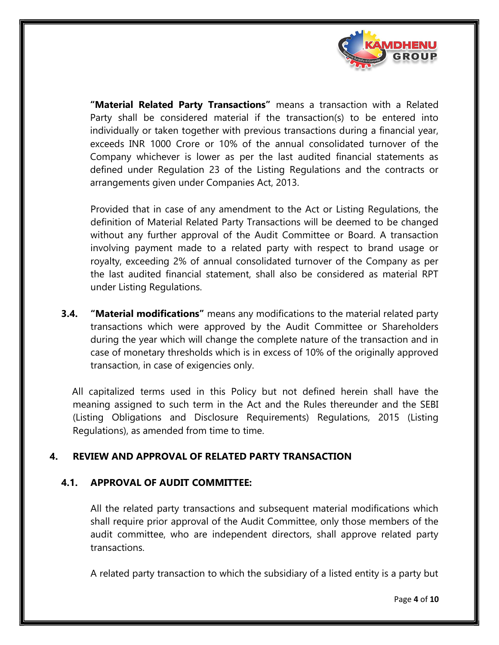

"Material Related Party Transactions" means a transaction with a Related Party shall be considered material if the transaction(s) to be entered into individually or taken together with previous transactions during a financial year, exceeds INR 1000 Crore or 10% of the annual consolidated turnover of the Company whichever is lower as per the last audited financial statements as defined under Regulation 23 of the Listing Regulations and the contracts or arrangements given under Companies Act, 2013.

Provided that in case of any amendment to the Act or Listing Regulations, the definition of Material Related Party Transactions will be deemed to be changed without any further approval of the Audit Committee or Board. A transaction involving payment made to a related party with respect to brand usage or royalty, exceeding 2% of annual consolidated turnover of the Company as per the last audited financial statement, shall also be considered as material RPT under Listing Regulations.

**3.4.** "Material modifications" means any modifications to the material related party transactions which were approved by the Audit Committee or Shareholders during the year which will change the complete nature of the transaction and in case of monetary thresholds which is in excess of 10% of the originally approved transaction, in case of exigencies only.

All capitalized terms used in this Policy but not defined herein shall have the meaning assigned to such term in the Act and the Rules thereunder and the SEBI (Listing Obligations and Disclosure Requirements) Regulations, 2015 (Listing Regulations), as amended from time to time.

### 4. REVIEW AND APPROVAL OF RELATED PARTY TRANSACTION

### 4.1. APPROVAL OF AUDIT COMMITTEE:

All the related party transactions and subsequent material modifications which shall require prior approval of the Audit Committee, only those members of the audit committee, who are independent directors, shall approve related party transactions.

A related party transaction to which the subsidiary of a listed entity is a party but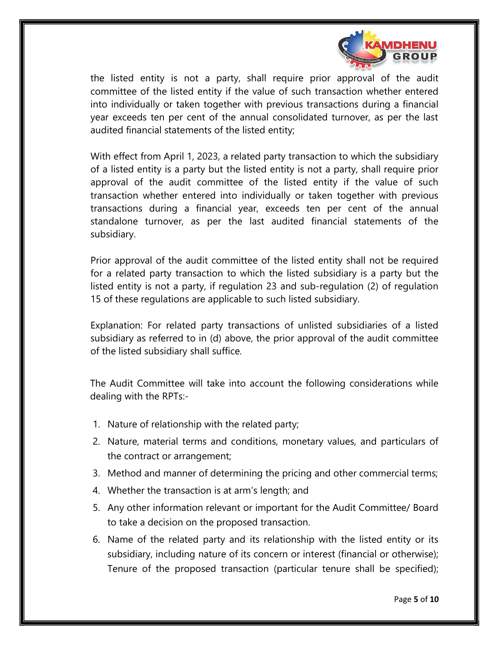

the listed entity is not a party, shall require prior approval of the audit committee of the listed entity if the value of such transaction whether entered into individually or taken together with previous transactions during a financial year exceeds ten per cent of the annual consolidated turnover, as per the last audited financial statements of the listed entity;

With effect from April 1, 2023, a related party transaction to which the subsidiary of a listed entity is a party but the listed entity is not a party, shall require prior approval of the audit committee of the listed entity if the value of such transaction whether entered into individually or taken together with previous transactions during a financial year, exceeds ten per cent of the annual standalone turnover, as per the last audited financial statements of the subsidiary.

Prior approval of the audit committee of the listed entity shall not be required for a related party transaction to which the listed subsidiary is a party but the listed entity is not a party, if regulation 23 and sub-regulation (2) of regulation 15 of these regulations are applicable to such listed subsidiary.

Explanation: For related party transactions of unlisted subsidiaries of a listed subsidiary as referred to in (d) above, the prior approval of the audit committee of the listed subsidiary shall suffice.

The Audit Committee will take into account the following considerations while dealing with the RPTs:-

- 1. Nature of relationship with the related party;
- 2. Nature, material terms and conditions, monetary values, and particulars of the contract or arrangement;
- 3. Method and manner of determining the pricing and other commercial terms;
- 4. Whether the transaction is at arm's length; and
- 5. Any other information relevant or important for the Audit Committee/ Board to take a decision on the proposed transaction.
- 6. Name of the related party and its relationship with the listed entity or its subsidiary, including nature of its concern or interest (financial or otherwise); Tenure of the proposed transaction (particular tenure shall be specified);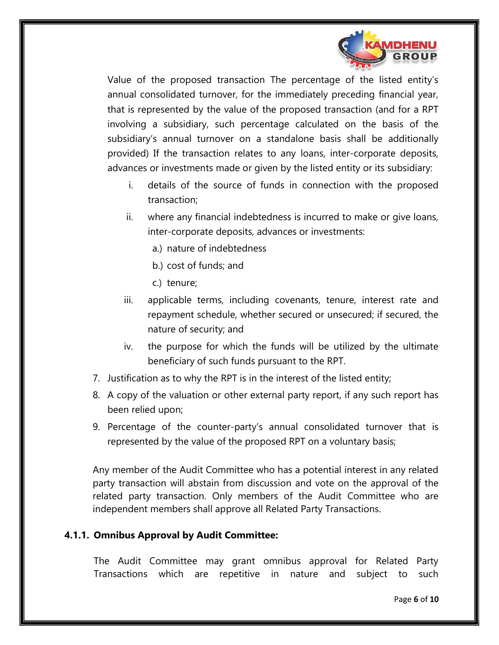

Value of the proposed transaction The percentage of the listed entity's annual consolidated turnover, for the immediately preceding financial year, that is represented by the value of the proposed transaction (and for a RPT involving a subsidiary, such percentage calculated on the basis of the subsidiary's annual turnover on a standalone basis shall be additionally provided) If the transaction relates to any loans, inter-corporate deposits, advances or investments made or given by the listed entity or its subsidiary:

- i. details of the source of funds in connection with the proposed transaction;
- ii. where any financial indebtedness is incurred to make or give loans, inter-corporate deposits, advances or investments:
	- a.) nature of indebtedness
	- b.) cost of funds; and
	- c.) tenure;
- iii. applicable terms, including covenants, tenure, interest rate and repayment schedule, whether secured or unsecured; if secured, the nature of security; and
- iv. the purpose for which the funds will be utilized by the ultimate beneficiary of such funds pursuant to the RPT.
- 7. Justification as to why the RPT is in the interest of the listed entity;
- 8. A copy of the valuation or other external party report, if any such report has been relied upon;
- 9. Percentage of the counter-party's annual consolidated turnover that is represented by the value of the proposed RPT on a voluntary basis;

Any member of the Audit Committee who has a potential interest in any related party transaction will abstain from discussion and vote on the approval of the related party transaction. Only members of the Audit Committee who are independent members shall approve all Related Party Transactions.

### 4.1.1. Omnibus Approval by Audit Committee:

The Audit Committee may grant omnibus approval for Related Party Transactions which are repetitive in nature and subject to such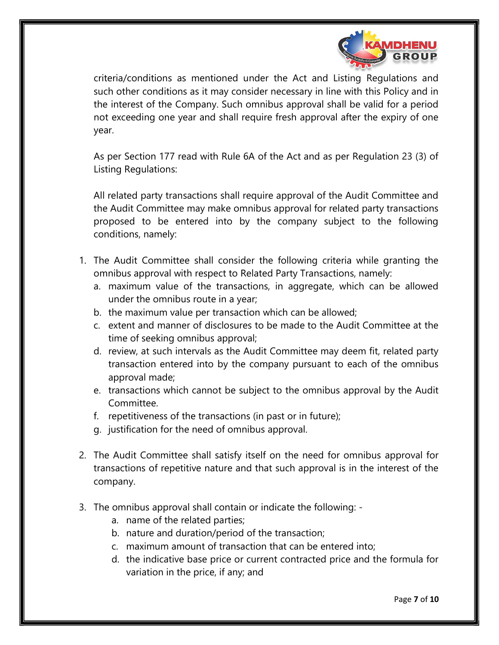

criteria/conditions as mentioned under the Act and Listing Regulations and such other conditions as it may consider necessary in line with this Policy and in the interest of the Company. Such omnibus approval shall be valid for a period not exceeding one year and shall require fresh approval after the expiry of one year.

As per Section 177 read with Rule 6A of the Act and as per Regulation 23 (3) of Listing Regulations:

All related party transactions shall require approval of the Audit Committee and the Audit Committee may make omnibus approval for related party transactions proposed to be entered into by the company subject to the following conditions, namely:

- 1. The Audit Committee shall consider the following criteria while granting the omnibus approval with respect to Related Party Transactions, namely:
	- a. maximum value of the transactions, in aggregate, which can be allowed under the omnibus route in a year;
	- b. the maximum value per transaction which can be allowed;
	- c. extent and manner of disclosures to be made to the Audit Committee at the time of seeking omnibus approval;
	- d. review, at such intervals as the Audit Committee may deem fit, related party transaction entered into by the company pursuant to each of the omnibus approval made;
	- e. transactions which cannot be subject to the omnibus approval by the Audit Committee.
	- f. repetitiveness of the transactions (in past or in future);
	- g. justification for the need of omnibus approval.
- 2. The Audit Committee shall satisfy itself on the need for omnibus approval for transactions of repetitive nature and that such approval is in the interest of the company.
- 3. The omnibus approval shall contain or indicate the following:
	- a. name of the related parties;
	- b. nature and duration/period of the transaction;
	- c. maximum amount of transaction that can be entered into;
	- d. the indicative base price or current contracted price and the formula for variation in the price, if any; and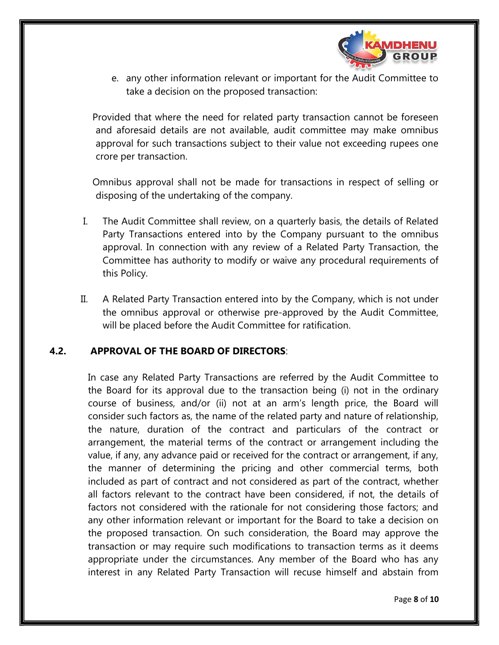

e. any other information relevant or important for the Audit Committee to take a decision on the proposed transaction:

Provided that where the need for related party transaction cannot be foreseen and aforesaid details are not available, audit committee may make omnibus approval for such transactions subject to their value not exceeding rupees one crore per transaction.

Omnibus approval shall not be made for transactions in respect of selling or disposing of the undertaking of the company.

- I. The Audit Committee shall review, on a quarterly basis, the details of Related Party Transactions entered into by the Company pursuant to the omnibus approval. In connection with any review of a Related Party Transaction, the Committee has authority to modify or waive any procedural requirements of this Policy.
- II. A Related Party Transaction entered into by the Company, which is not under the omnibus approval or otherwise pre-approved by the Audit Committee, will be placed before the Audit Committee for ratification.

#### 4.2. APPROVAL OF THE BOARD OF DIRECTORS:

In case any Related Party Transactions are referred by the Audit Committee to the Board for its approval due to the transaction being (i) not in the ordinary course of business, and/or (ii) not at an arm's length price, the Board will consider such factors as, the name of the related party and nature of relationship, the nature, duration of the contract and particulars of the contract or arrangement, the material terms of the contract or arrangement including the value, if any, any advance paid or received for the contract or arrangement, if any, the manner of determining the pricing and other commercial terms, both included as part of contract and not considered as part of the contract, whether all factors relevant to the contract have been considered, if not, the details of factors not considered with the rationale for not considering those factors; and any other information relevant or important for the Board to take a decision on the proposed transaction. On such consideration, the Board may approve the transaction or may require such modifications to transaction terms as it deems appropriate under the circumstances. Any member of the Board who has any interest in any Related Party Transaction will recuse himself and abstain from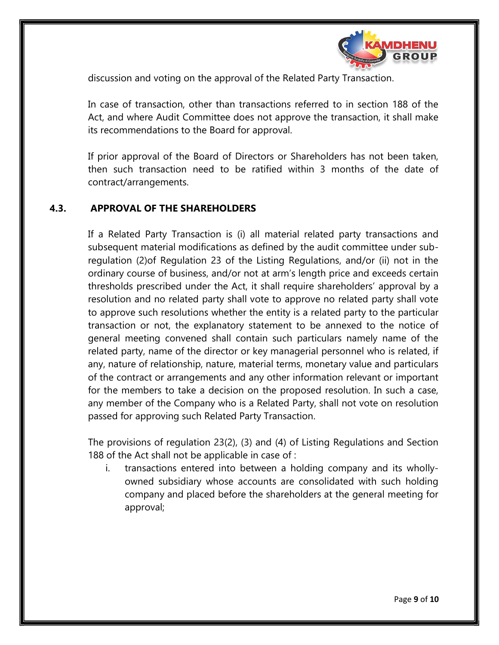

discussion and voting on the approval of the Related Party Transaction.

In case of transaction, other than transactions referred to in section 188 of the Act, and where Audit Committee does not approve the transaction, it shall make its recommendations to the Board for approval.

If prior approval of the Board of Directors or Shareholders has not been taken, then such transaction need to be ratified within 3 months of the date of contract/arrangements.

### 4.3. APPROVAL OF THE SHAREHOLDERS

If a Related Party Transaction is (i) all material related party transactions and subsequent material modifications as defined by the audit committee under subregulation (2)of Regulation 23 of the Listing Regulations, and/or (ii) not in the ordinary course of business, and/or not at arm's length price and exceeds certain thresholds prescribed under the Act, it shall require shareholders' approval by a resolution and no related party shall vote to approve no related party shall vote to approve such resolutions whether the entity is a related party to the particular transaction or not, the explanatory statement to be annexed to the notice of general meeting convened shall contain such particulars namely name of the related party, name of the director or key managerial personnel who is related, if any, nature of relationship, nature, material terms, monetary value and particulars of the contract or arrangements and any other information relevant or important for the members to take a decision on the proposed resolution. In such a case, any member of the Company who is a Related Party, shall not vote on resolution passed for approving such Related Party Transaction.

The provisions of regulation 23(2), (3) and (4) of Listing Regulations and Section 188 of the Act shall not be applicable in case of :

i. transactions entered into between a holding company and its whollyowned subsidiary whose accounts are consolidated with such holding company and placed before the shareholders at the general meeting for approval;